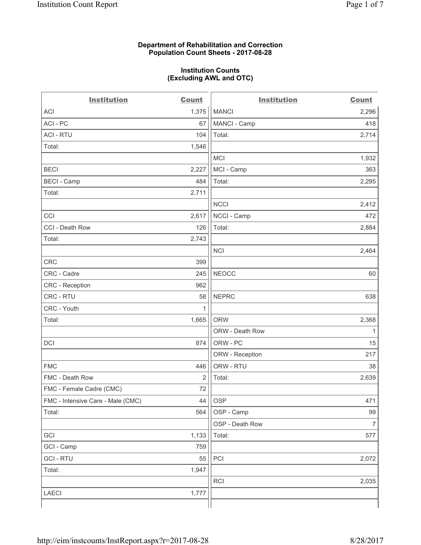### **Department of Rehabilitation and Correction Population Count Sheets - 2017-08-28**

#### **Institution Counts (Excluding AWL and OTC)**

 $-$ 

| <b>Institution</b>                | <b>Count</b> | <b>Institution</b> | <b>Count</b>             |
|-----------------------------------|--------------|--------------------|--------------------------|
| ACI                               | 1,375        | <b>MANCI</b>       | 2,296                    |
| ACI-PC                            | 67           | MANCI - Camp       | 418                      |
| <b>ACI - RTU</b>                  | 104          | Total:             | 2,714                    |
| Total:                            | 1,546        |                    |                          |
|                                   |              | MCI                | 1,932                    |
| <b>BECI</b>                       | 2,227        | MCI - Camp         | 363                      |
| <b>BECI</b> - Camp                | 484          | Total:             | 2,295                    |
| Total:                            | 2,711        |                    |                          |
|                                   |              | <b>NCCI</b>        | 2,412                    |
| CCI                               | 2,617        | NCCI - Camp        | 472                      |
| CCI - Death Row                   | 126          | Total:             | 2,884                    |
| Total:                            | 2,743        |                    |                          |
|                                   |              | <b>NCI</b>         | 2,464                    |
| <b>CRC</b>                        | 399          |                    |                          |
| CRC - Cadre                       | 245          | <b>NEOCC</b>       | 60                       |
| CRC - Reception                   | 962          |                    |                          |
| CRC - RTU                         | 58           | <b>NEPRC</b>       | 638                      |
| CRC - Youth                       | 1            |                    |                          |
| Total:                            | 1,665        | <b>ORW</b>         | 2,368                    |
|                                   |              | ORW - Death Row    | 1                        |
| DCI                               | 874          | ORW - PC           | 15                       |
|                                   |              | ORW - Reception    | 217                      |
| <b>FMC</b>                        | 446          | ORW - RTU          | 38                       |
| FMC - Death Row                   | 2            | Total:             | 2,639                    |
| FMC - Female Cadre (CMC)          | 72           |                    |                          |
| FMC - Intensive Care - Male (CMC) | 44           | <b>OSP</b>         | 471                      |
| Total:                            | 564          | OSP - Camp         | 99                       |
|                                   |              | OSP - Death Row    | $\overline{\mathcal{I}}$ |
| GCI                               | 1,133        | Total:             | 577                      |
| GCI - Camp                        | 759          |                    |                          |
| <b>GCI - RTU</b>                  | 55           | PCI                | 2,072                    |
| Total:                            | 1,947        |                    |                          |
|                                   |              | <b>RCI</b>         | 2,035                    |
| LAECI                             | 1,777        |                    |                          |
|                                   |              |                    |                          |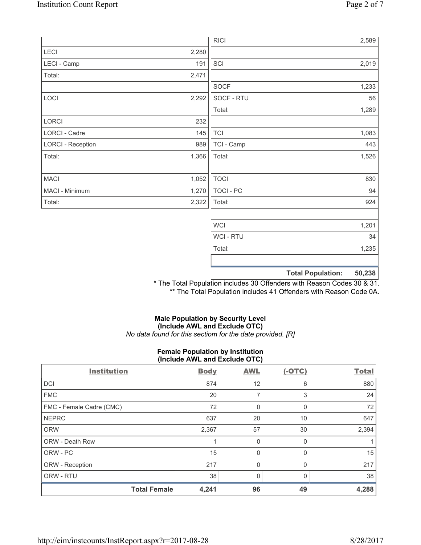|                          |       | <b>RICI</b>      |                          | 2,589  |
|--------------------------|-------|------------------|--------------------------|--------|
| LECI                     | 2,280 |                  |                          |        |
| LECI - Camp              | 191   | SCI              |                          | 2,019  |
| Total:                   | 2,471 |                  |                          |        |
|                          |       | <b>SOCF</b>      |                          | 1,233  |
| LOCI                     | 2,292 | SOCF - RTU       |                          | 56     |
|                          |       | Total:           |                          | 1,289  |
| LORCI                    | 232   |                  |                          |        |
| <b>LORCI - Cadre</b>     | 145   | <b>TCI</b>       |                          | 1,083  |
| <b>LORCI - Reception</b> | 989   | TCI - Camp       |                          | 443    |
| Total:                   | 1,366 | Total:           |                          | 1,526  |
|                          |       |                  |                          |        |
| <b>MACI</b>              | 1,052 | <b>TOCI</b>      |                          | 830    |
| MACI - Minimum           | 1,270 | <b>TOCI - PC</b> |                          | 94     |
| Total:                   | 2,322 | Total:           |                          | 924    |
|                          |       |                  |                          |        |
|                          |       | <b>WCI</b>       |                          | 1,201  |
|                          |       | <b>WCI-RTU</b>   |                          | 34     |
|                          |       | Total:           |                          | 1,235  |
|                          |       |                  |                          |        |
|                          |       |                  | <b>Total Population:</b> | 50,238 |

\* The Total Population includes 30 Offenders with Reason Codes 30 & 31. \*\* The Total Population includes 41 Offenders with Reason Code 0A.

# **Male Population by Security Level (Include AWL and Exclude OTC)**  *No data found for this sectiom for the date provided. [R]*

#### **Female Population by Institution (Include AWL and Exclude OTC)**

| <b>Institution</b>       | <b>Body</b> | <b>AWL</b>  | $(-OTC)$     | <b>Total</b> |
|--------------------------|-------------|-------------|--------------|--------------|
| <b>DCI</b>               | 874         | 12          | 6            | 880          |
| <b>FMC</b>               | 20          | 7           | 3            | 24           |
| FMC - Female Cadre (CMC) | 72          | $\mathbf 0$ | 0            | 72           |
| <b>NEPRC</b>             | 637         | 20          | 10           | 647          |
| <b>ORW</b>               | 2,367       | 57          | 30           | 2,394        |
| <b>ORW - Death Row</b>   |             | $\mathbf 0$ | $\Omega$     |              |
| ORW - PC                 | 15          | 0           | $\Omega$     | 15           |
| ORW - Reception          | 217         | 0           | $\Omega$     | 217          |
| ORW - RTU                | 38          | 0           | <sup>0</sup> | 38           |
| <b>Total Female</b>      | 4,241       | 96          | 49           | 4,288        |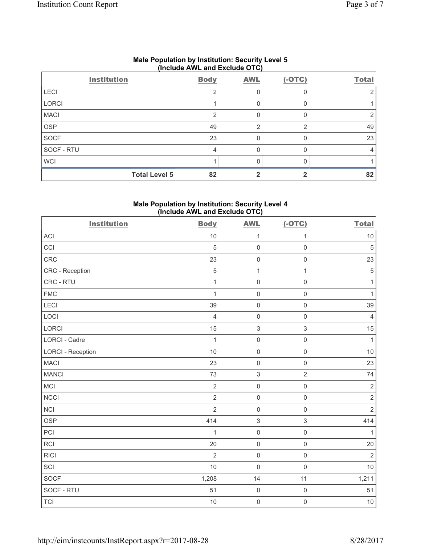| (include AVVL and Exclude OTO) |                      |             |            |          |              |  |
|--------------------------------|----------------------|-------------|------------|----------|--------------|--|
|                                | <b>Institution</b>   | <b>Body</b> | <b>AWL</b> | $(-OTC)$ | <b>Total</b> |  |
| <b>LECI</b>                    |                      | っ           |            |          |              |  |
| LORCI                          |                      |             | 0          |          |              |  |
| <b>MACI</b>                    |                      | 2           |            |          |              |  |
| <b>OSP</b>                     |                      | 49          | 2          | 2        | 49           |  |
| <b>SOCF</b>                    |                      | 23          |            |          | 23           |  |
| SOCF - RTU                     |                      | 4           | 0          |          |              |  |
| <b>WCI</b>                     |                      |             |            |          |              |  |
|                                | <b>Total Level 5</b> | 82          |            |          | 82           |  |

## **Male Population by Institution: Security Level 5 (Include AWL and Exclude OTC)**

## **Male Population by Institution: Security Level 4 (Include AWL and Exclude OTC)**

| <b>Institution</b>       | <b>Body</b>    | <b>AWL</b>          | $(-OTC)$            | <b>Total</b>   |
|--------------------------|----------------|---------------------|---------------------|----------------|
| <b>ACI</b>               | 10             | 1                   | 1                   | $10$           |
| CCI                      | $\sqrt{5}$     | $\mathsf{O}\xspace$ | $\mathsf{O}\xspace$ | $\sqrt{5}$     |
| CRC                      | 23             | $\mathsf{O}\xspace$ | $\mathsf{O}\xspace$ | 23             |
| CRC - Reception          | 5              | $\mathbf{1}$        | $\mathbf{1}$        | $\sqrt{5}$     |
| CRC - RTU                | $\mathbf{1}$   | $\mathsf{O}\xspace$ | $\mathsf{O}\xspace$ | $\mathbf{1}$   |
| <b>FMC</b>               | $\mathbf{1}$   | $\mathsf{O}\xspace$ | $\mathsf{O}\xspace$ | $\mathbf{1}$   |
| <b>LECI</b>              | 39             | $\mathsf{O}\xspace$ | $\mathsf{O}\xspace$ | 39             |
| LOCI                     | $\overline{4}$ | $\mathsf{O}\xspace$ | $\mathsf 0$         | $\overline{4}$ |
| LORCI                    | 15             | $\mathfrak{S}$      | $\mathsf 3$         | 15             |
| LORCI - Cadre            | $\mathbf{1}$   | $\mathsf{O}\xspace$ | $\mathsf 0$         | $\mathbf{1}$   |
| <b>LORCI - Reception</b> | 10             | $\mathsf{O}\xspace$ | $\mathsf{O}\xspace$ | 10             |
| <b>MACI</b>              | 23             | $\mathsf{O}\xspace$ | $\mathsf 0$         | 23             |
| <b>MANCI</b>             | 73             | $\mathfrak{S}$      | $\overline{2}$      | 74             |
| MCI                      | $\overline{2}$ | $\mathsf{O}\xspace$ | $\mathsf 0$         | $\sqrt{2}$     |
| <b>NCCI</b>              | $\overline{2}$ | $\mathsf{O}\xspace$ | $\mathsf{O}\xspace$ | $\sqrt{2}$     |
| <b>NCI</b>               | $\overline{2}$ | $\mathsf{O}\xspace$ | $\mathsf 0$         | $\overline{2}$ |
| <b>OSP</b>               | 414            | $\mathsf 3$         | $\mathsf 3$         | 414            |
| PCI                      | 1              | $\mathsf{O}\xspace$ | $\mathsf{O}\xspace$ | $\mathbf{1}$   |
| <b>RCI</b>               | 20             | $\mathsf{O}\xspace$ | $\mathsf{O}\xspace$ | 20             |
| <b>RICI</b>              | $\overline{2}$ | $\mathsf{O}\xspace$ | $\mathsf 0$         | $\overline{2}$ |
| SCI                      | 10             | $\mathsf{O}\xspace$ | $\mathsf{O}\xspace$ | 10             |
| <b>SOCF</b>              | 1,208          | 14                  | 11                  | 1,211          |
| SOCF - RTU               | 51             | $\mathsf{O}\xspace$ | $\mathbf 0$         | 51             |
| <b>TCI</b>               | 10             | $\mathbf 0$         | $\mathsf{O}\xspace$ | $10$           |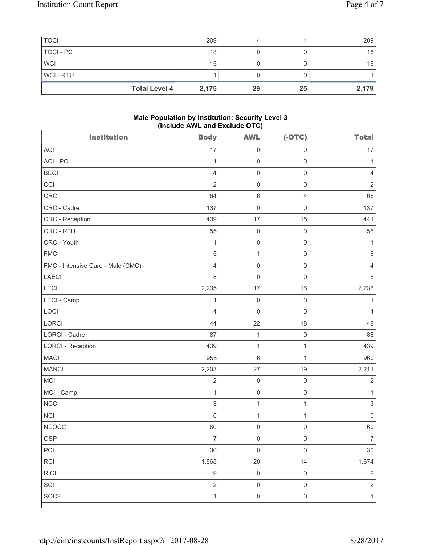| <b>TOCI</b>    |                      | 209   |    |    | 209   |
|----------------|----------------------|-------|----|----|-------|
| TOCI - PC      |                      | 18    |    |    | 18    |
| <b>WCI</b>     |                      | 15    |    |    | 15    |
| <b>WCI-RTU</b> |                      |       |    |    |       |
|                | <b>Total Level 4</b> | 2,175 | 29 | 25 | 2,179 |

### **Male Population by Institution: Security Level 3 (Include AWL and Exclude OTC)**

| <b>Institution</b>                | <b>Body</b>         | <b>AWL</b>          | $(-OTC)$            | <b>Total</b>              |
|-----------------------------------|---------------------|---------------------|---------------------|---------------------------|
| <b>ACI</b>                        | 17                  | $\mathsf{O}\xspace$ | $\mathbf 0$         | 17                        |
| ACI-PC                            | $\mathbf{1}$        | $\mathsf{O}\xspace$ | $\mathsf 0$         | 1                         |
| <b>BECI</b>                       | $\overline{4}$      | $\mathsf{O}\xspace$ | $\mathsf{O}\xspace$ | $\overline{4}$            |
| CCI                               | $\overline{2}$      | $\mathsf{O}\xspace$ | $\mathsf 0$         | $\mathbf 2$               |
| CRC                               | 64                  | $\,6\,$             | $\overline{4}$      | 66                        |
| CRC - Cadre                       | 137                 | $\mathsf{O}\xspace$ | $\mathsf{O}\xspace$ | 137                       |
| CRC - Reception                   | 439                 | 17                  | 15                  | 441                       |
| CRC - RTU                         | 55                  | $\mathsf{O}\xspace$ | $\mathsf 0$         | 55                        |
| CRC - Youth                       | $\mathbf{1}$        | $\mathsf{O}\xspace$ | $\mathsf 0$         | $\mathbf{1}$              |
| <b>FMC</b>                        | $\overline{5}$      | $\mathbf{1}$        | $\mathsf 0$         | $\,6\,$                   |
| FMC - Intensive Care - Male (CMC) | $\overline{4}$      | $\mathsf{O}\xspace$ | $\mathsf 0$         | 4                         |
| <b>LAECI</b>                      | 8                   | $\mathsf{O}\xspace$ | $\mathsf 0$         | 8                         |
| LECI                              | 2,235               | 17                  | 16                  | 2,236                     |
| LECI - Camp                       | $\mathbf{1}$        | $\mathsf{O}\xspace$ | $\mathsf{O}\xspace$ | 1                         |
| LOCI                              | $\overline{4}$      | $\mathbf 0$         | $\mathsf 0$         | $\overline{4}$            |
| <b>LORCI</b>                      | 44                  | 22                  | 18                  | 48                        |
| LORCI - Cadre                     | 87                  | $\mathbf{1}$        | $\mathsf 0$         | 88                        |
| <b>LORCI - Reception</b>          | 439                 | $\mathbf{1}$        | $\mathbf{1}$        | 439                       |
| <b>MACI</b>                       | 955                 | $\,6$               | $\mathbf{1}$        | 960                       |
| <b>MANCI</b>                      | 2,203               | 27                  | 19                  | 2,211                     |
| MCI                               | $\sqrt{2}$          | $\mathsf{O}\xspace$ | $\mathsf 0$         | $\overline{2}$            |
| MCI - Camp                        | $\mathbf{1}$        | $\mathsf 0$         | $\mathsf 0$         | $\mathbf{1}$              |
| <b>NCCI</b>                       | $\mathfrak{S}$      | $\mathbf{1}$        | $\mathbf{1}$        | $\ensuremath{\mathsf{3}}$ |
| <b>NCI</b>                        | $\mathsf{O}\xspace$ | $\mathbf 1$         | 1                   | $\mathbf 0$               |
| <b>NEOCC</b>                      | 60                  | $\mathsf{O}\xspace$ | $\mathsf 0$         | 60                        |
| OSP                               | $\overline{7}$      | $\mathsf 0$         | $\mathsf 0$         | $\overline{7}$            |
| PCI                               | $30\,$              | $\mathsf{O}\xspace$ | $\mathsf 0$         | $30\,$                    |
| RCI                               | 1,868               | $20\,$              | 14                  | 1,874                     |
| <b>RICI</b>                       | $\mathsf g$         | $\mathsf{O}\xspace$ | $\mathsf 0$         | $\hbox{9}$                |
| SCI                               | $\overline{2}$      | $\mathsf{O}\xspace$ | $\mathsf{O}\xspace$ | $\sqrt{2}$                |
| <b>SOCF</b>                       | $\mathbf{1}$        | $\mathsf{O}\xspace$ | $\mathsf 0$         | $\mathbf{1}$              |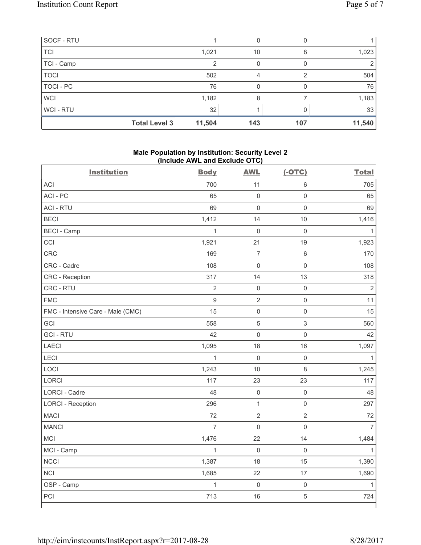| SOCF - RTU           |        |     |     |        |
|----------------------|--------|-----|-----|--------|
| <b>TCI</b>           | 1,021  | 10  | 8   | 1,023  |
| TCI - Camp           |        |     |     |        |
| <b>TOCI</b>          | 502    | Δ   |     | 504    |
| TOCI - PC            | 76     |     |     | 76     |
| <b>WCI</b>           | 1,182  | 8   |     | 1,183  |
| <b>WCI-RTU</b>       | 32     |     |     | 33     |
| <b>Total Level 3</b> | 11,504 | 143 | 107 | 11,540 |

## **Male Population by Institution: Security Level 2 (Include AWL and Exclude OTC)**

| <b>Institution</b>                | <b>Body</b>    | <b>AWL</b>          | $(-OTC)$            | <b>Total</b>   |
|-----------------------------------|----------------|---------------------|---------------------|----------------|
| ACI                               | 700            | 11                  | $\,6\,$             | 705            |
| ACI - PC                          | 65             | $\mathbf 0$         | $\mathsf{O}\xspace$ | 65             |
| <b>ACI - RTU</b>                  | 69             | $\mathbf 0$         | $\mathsf{O}\xspace$ | 69             |
| <b>BECI</b>                       | 1,412          | 14                  | 10                  | 1,416          |
| <b>BECI</b> - Camp                | $\mathbf{1}$   | $\mathsf{O}\xspace$ | $\mathsf{O}\xspace$ | $\mathbf{1}$   |
| CCI                               | 1,921          | 21                  | 19                  | 1,923          |
| <b>CRC</b>                        | 169            | $\overline{7}$      | $\,6\,$             | 170            |
| CRC - Cadre                       | 108            | $\mathbf 0$         | $\mathsf{O}\xspace$ | 108            |
| CRC - Reception                   | 317            | 14                  | 13                  | 318            |
| CRC - RTU                         | $\overline{2}$ | $\mathsf{O}\xspace$ | $\mathsf{O}\xspace$ | $\overline{2}$ |
| <b>FMC</b>                        | $\mathsf g$    | $\overline{2}$      | $\mathsf{O}\xspace$ | 11             |
| FMC - Intensive Care - Male (CMC) | 15             | $\mathsf{O}\xspace$ | $\mathsf{O}\xspace$ | 15             |
| GCI                               | 558            | 5                   | $\mathfrak{S}$      | 560            |
| <b>GCI-RTU</b>                    | 42             | $\mathbf 0$         | $\mathsf{O}\xspace$ | 42             |
| <b>LAECI</b>                      | 1,095          | 18                  | 16                  | 1,097          |
| LECI                              | $\mathbf{1}$   | $\mathsf{O}\xspace$ | $\mathsf{O}\xspace$ | $\mathbf{1}$   |
| LOCI                              | 1,243          | 10                  | $\,8\,$             | 1,245          |
| <b>LORCI</b>                      | 117            | 23                  | 23                  | 117            |
| LORCI - Cadre                     | 48             | $\mathsf{O}\xspace$ | $\mathsf 0$         | 48             |
| <b>LORCI - Reception</b>          | 296            | $\mathbf 1$         | $\mathsf{O}\xspace$ | 297            |
| <b>MACI</b>                       | 72             | $\overline{2}$      | $\overline{2}$      | 72             |
| <b>MANCI</b>                      | $\overline{7}$ | $\mathsf{O}\xspace$ | $\mathbf 0$         | $\overline{7}$ |
| MCI                               | 1,476          | 22                  | 14                  | 1,484          |
| MCI - Camp                        | $\mathbf{1}$   | $\mathbf 0$         | $\mathsf{O}\xspace$ | $\mathbf{1}$   |
| <b>NCCI</b>                       | 1,387          | 18                  | 15                  | 1,390          |
| <b>NCI</b>                        | 1,685          | 22                  | 17                  | 1,690          |
| OSP - Camp                        | $\mathbf{1}$   | $\mathsf{O}\xspace$ | $\mathsf{O}\xspace$ | $\mathbf{1}$   |
| PCI                               | 713            | 16                  | $\sqrt{5}$          | 724            |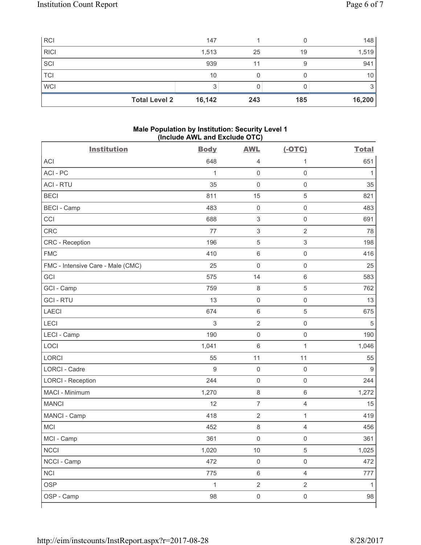| <b>RCI</b>           | 147    |     |     | 148    |
|----------------------|--------|-----|-----|--------|
| <b>RICI</b>          | 1,513  | 25  | 19  | 1,519  |
| SCI                  | 939    |     |     | 941    |
| <b>TCI</b>           | 10     |     |     | 10     |
| <b>WCI</b>           | ◠      |     |     |        |
| <b>Total Level 2</b> | 16,142 | 243 | 185 | 16,200 |

## **Male Population by Institution: Security Level 1 (Include AWL and Exclude OTC)**

| <b>Institution</b>                | <b>Body</b>  | <b>AWL</b>                | $(-OTC)$            | <b>Total</b> |
|-----------------------------------|--------------|---------------------------|---------------------|--------------|
| <b>ACI</b>                        | 648          | $\overline{4}$            | 1                   | 651          |
| ACI-PC                            | $\mathbf{1}$ | $\mathsf 0$               | $\mathsf{O}\xspace$ | $\mathbf{1}$ |
| <b>ACI - RTU</b>                  | 35           | $\mathbf 0$               | $\mathsf 0$         | 35           |
| <b>BECI</b>                       | 811          | 15                        | $\,$ 5 $\,$         | 821          |
| <b>BECI - Camp</b>                | 483          | $\mathsf{O}\xspace$       | $\mathbf 0$         | 483          |
| CCI                               | 688          | $\sqrt{3}$                | $\mathsf{O}\xspace$ | 691          |
| CRC                               | 77           | $\ensuremath{\mathsf{3}}$ | $\overline{2}$      | 78           |
| CRC - Reception                   | 196          | $\sqrt{5}$                | $\mathsf 3$         | 198          |
| <b>FMC</b>                        | 410          | $\,6\,$                   | $\mathsf 0$         | 416          |
| FMC - Intensive Care - Male (CMC) | 25           | $\mathbf 0$               | $\mathsf{O}\xspace$ | 25           |
| GCI                               | 575          | 14                        | $6\,$               | 583          |
| GCI - Camp                        | 759          | $\,8\,$                   | 5                   | 762          |
| <b>GCI-RTU</b>                    | 13           | $\mathbf 0$               | $\mathsf 0$         | 13           |
| <b>LAECI</b>                      | 674          | $\,6\,$                   | $\sqrt{5}$          | 675          |
| LECI                              | 3            | $\sqrt{2}$                | $\mathsf 0$         | 5            |
| LECI - Camp                       | 190          | $\mathbf 0$               | $\mathsf{O}\xspace$ | 190          |
| LOCI                              | 1,041        | 6                         | 1                   | 1,046        |
| <b>LORCI</b>                      | 55           | 11                        | 11                  | 55           |
| <b>LORCI - Cadre</b>              | 9            | $\mathsf{O}\xspace$       | $\mathsf 0$         | 9            |
| <b>LORCI - Reception</b>          | 244          | $\mathsf{O}\xspace$       | $\mathsf 0$         | 244          |
| MACI - Minimum                    | 1,270        | $\,8\,$                   | $6\,$               | 1,272        |
| <b>MANCI</b>                      | 12           | $\overline{7}$            | 4                   | 15           |
| MANCI - Camp                      | 418          | $\sqrt{2}$                | $\mathbf{1}$        | 419          |
| MCI                               | 452          | $\,8\,$                   | $\overline{4}$      | 456          |
| MCI - Camp                        | 361          | $\mathbf 0$               | $\mathsf{O}\xspace$ | 361          |
| <b>NCCI</b>                       | 1,020        | $10$                      | 5                   | 1,025        |
| NCCI - Camp                       | 472          | $\mathsf{O}\xspace$       | $\mathsf 0$         | 472          |
| <b>NCI</b>                        | 775          | $\,6\,$                   | $\overline{4}$      | 777          |
| <b>OSP</b>                        | $\mathbf{1}$ | $\overline{2}$            | $\overline{2}$      | 1            |
| OSP - Camp                        | 98           | $\mathbf 0$               | $\mathsf{O}\xspace$ | 98           |